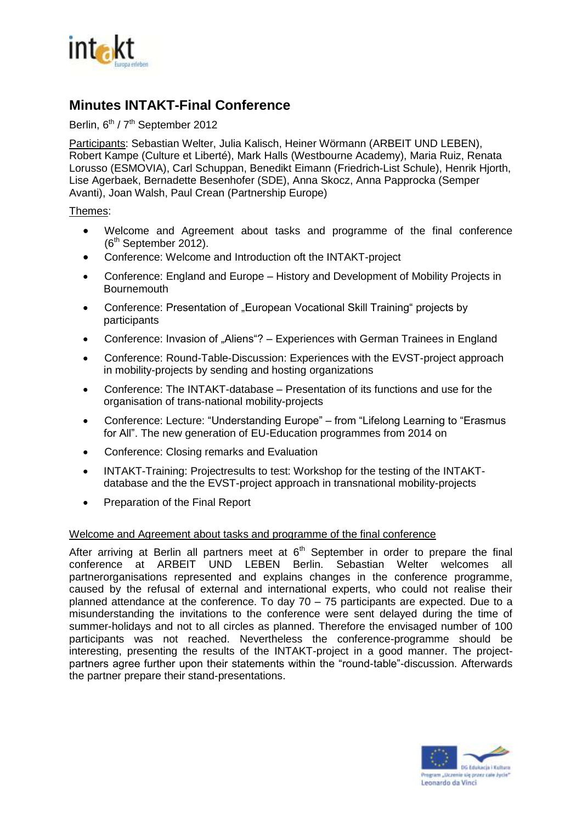

# **Minutes INTAKT-Final Conference**

## Berlin, 6<sup>th</sup> / 7<sup>th</sup> September 2012

Participants: Sebastian Welter, Julia Kalisch, Heiner Wörmann (ARBEIT UND LEBEN), Robert Kampe (Culture et Liberté), Mark Halls (Westbourne Academy), Maria Ruiz, Renata Lorusso (ESMOVIA), Carl Schuppan, Benedikt Eimann (Friedrich-List Schule), Henrik Hjorth, Lise Agerbaek, Bernadette Besenhofer (SDE), Anna Skocz, Anna Papprocka (Semper Avanti), Joan Walsh, Paul Crean (Partnership Europe)

## Themes:

- Welcome and Agreement about tasks and programme of the final conference  $(6<sup>th</sup>$  September 2012).
- Conference: Welcome and Introduction oft the INTAKT-project
- Conference: England and Europe History and Development of Mobility Projects in **Bournemouth**
- Conference: Presentation of "European Vocational Skill Training" projects by participants
- Conference: Invasion of "Aliens"? Experiences with German Trainees in England
- Conference: Round-Table-Discussion: Experiences with the EVST-project approach in mobility-projects by sending and hosting organizations
- Conference: The INTAKT-database Presentation of its functions and use for the organisation of trans-national mobility-projects
- Conference: Lecture: "Understanding Europe" from "Lifelong Learning to "Erasmus for All". The new generation of EU-Education programmes from 2014 on
- Conference: Closing remarks and Evaluation
- INTAKT-Training: Projectresults to test: Workshop for the testing of the INTAKTdatabase and the the EVST-project approach in transnational mobility-projects
- Preparation of the Final Report

## Welcome and Agreement about tasks and programme of the final conference

After arriving at Berlin all partners meet at  $6<sup>th</sup>$  September in order to prepare the final conference at ARBEIT UND LEBEN Berlin. Sebastian Welter welcomes all partnerorganisations represented and explains changes in the conference programme, caused by the refusal of external and international experts, who could not realise their planned attendance at the conference. To day 70 – 75 participants are expected. Due to a misunderstanding the invitations to the conference were sent delayed during the time of summer-holidays and not to all circles as planned. Therefore the envisaged number of 100 participants was not reached. Nevertheless the conference-programme should be interesting, presenting the results of the INTAKT-project in a good manner. The projectpartners agree further upon their statements within the "round-table"-discussion. Afterwards the partner prepare their stand-presentations.

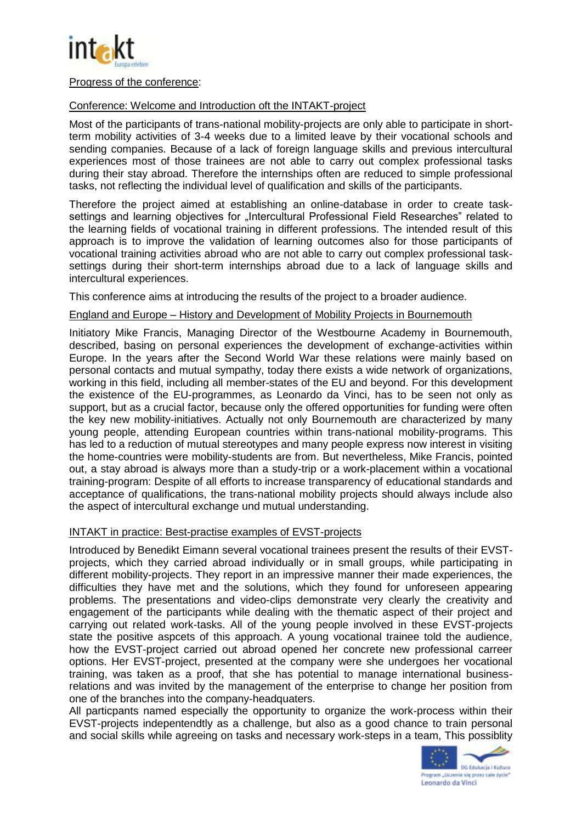

#### Progress of the conference:

## Conference: Welcome and Introduction oft the INTAKT-project

Most of the participants of trans-national mobility-projects are only able to participate in shortterm mobility activities of 3-4 weeks due to a limited leave by their vocational schools and sending companies. Because of a lack of foreign language skills and previous intercultural experiences most of those trainees are not able to carry out complex professional tasks during their stay abroad. Therefore the internships often are reduced to simple professional tasks, not reflecting the individual level of qualification and skills of the participants.

Therefore the project aimed at establishing an online-database in order to create tasksettings and learning objectives for "Intercultural Professional Field Researches" related to the learning fields of vocational training in different professions. The intended result of this approach is to improve the validation of learning outcomes also for those participants of vocational training activities abroad who are not able to carry out complex professional tasksettings during their short-term internships abroad due to a lack of language skills and intercultural experiences.

This conference aims at introducing the results of the project to a broader audience.

#### England and Europe – History and Development of Mobility Projects in Bournemouth

Initiatory Mike Francis, Managing Director of the Westbourne Academy in Bournemouth, described, basing on personal experiences the development of exchange-activities within Europe. In the years after the Second World War these relations were mainly based on personal contacts and mutual sympathy, today there exists a wide network of organizations, working in this field, including all member-states of the EU and beyond. For this development the existence of the EU-programmes, as Leonardo da Vinci, has to be seen not only as support, but as a crucial factor, because only the offered opportunities for funding were often the key new mobility-initiatives. Actually not only Bournemouth are characterized by many young people, attending European countries within trans-national mobility-programs. This has led to a reduction of mutual stereotypes and many people express now interest in visiting the home-countries were mobility-students are from. But nevertheless, Mike Francis, pointed out, a stay abroad is always more than a study-trip or a work-placement within a vocational training-program: Despite of all efforts to increase transparency of educational standards and acceptance of qualifications, the trans-national mobility projects should always include also the aspect of intercultural exchange und mutual understanding.

## INTAKT in practice: Best-practise examples of EVST-projects

Introduced by Benedikt Eimann several vocational trainees present the results of their EVSTprojects, which they carried abroad individually or in small groups, while participating in different mobility-projects. They report in an impressive manner their made experiences, the difficulties they have met and the solutions, which they found for unforeseen appearing problems. The presentations and video-clips demonstrate very clearly the creativity and engagement of the participants while dealing with the thematic aspect of their project and carrying out related work-tasks. All of the young people involved in these EVST-projects state the positive aspcets of this approach. A young vocational trainee told the audience, how the EVST-project carried out abroad opened her concrete new professional carreer options. Her EVST-project, presented at the company were she undergoes her vocational training, was taken as a proof, that she has potential to manage international businessrelations and was invited by the management of the enterprise to change her position from one of the branches into the company-headquaters.

All particpants named especially the opportunity to organize the work-process within their EVST-projects indepentendtly as a challenge, but also as a good chance to train personal and social skills while agreeing on tasks and necessary work-steps in a team, This possiblity

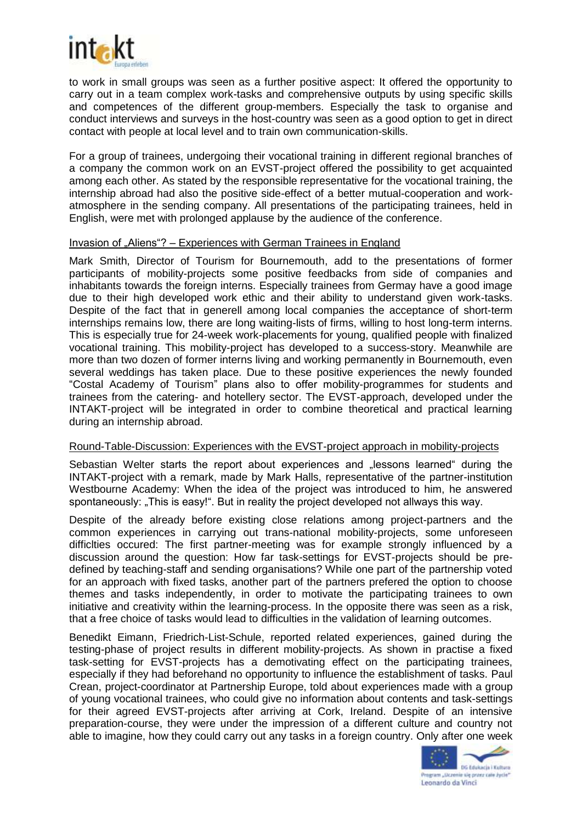

to work in small groups was seen as a further positive aspect: It offered the opportunity to carry out in a team complex work-tasks and comprehensive outputs by using specific skills and competences of the different group-members. Especially the task to organise and conduct interviews and surveys in the host-country was seen as a good option to get in direct contact with people at local level and to train own communication-skills.

For a group of trainees, undergoing their vocational training in different regional branches of a company the common work on an EVST-project offered the possibility to get acquainted among each other. As stated by the responsible representative for the vocational training, the internship abroad had also the positive side-effect of a better mutual-cooperation and workatmosphere in the sending company. All presentations of the participating trainees, held in English, were met with prolonged applause by the audience of the conference.

#### Invasion of "Aliens"? – Experiences with German Trainees in England

Mark Smith, Director of Tourism for Bournemouth, add to the presentations of former participants of mobility-projects some positive feedbacks from side of companies and inhabitants towards the foreign interns. Especially trainees from Germay have a good image due to their high developed work ethic and their ability to understand given work-tasks. Despite of the fact that in generell among local companies the acceptance of short-term internships remains low, there are long waiting-lists of firms, willing to host long-term interns. This is especially true for 24-week work-placements for young, qualified people with finalized vocational training. This mobility-project has developed to a success-story. Meanwhile are more than two dozen of former interns living and working permanently in Bournemouth, even several weddings has taken place. Due to these positive experiences the newly founded "Costal Academy of Tourism" plans also to offer mobility-programmes for students and trainees from the catering- and hotellery sector. The EVST-approach, developed under the INTAKT-project will be integrated in order to combine theoretical and practical learning during an internship abroad.

#### Round-Table-Discussion: Experiences with the EVST-project approach in mobility-projects

Sebastian Welter starts the report about experiences and "lessons learned" during the INTAKT-project with a remark, made by Mark Halls, representative of the partner-institution Westbourne Academy: When the idea of the project was introduced to him, he answered spontaneously: "This is easy!". But in reality the project developed not allways this way.

Despite of the already before existing close relations among project-partners and the common experiences in carrying out trans-national mobility-projects, some unforeseen difficlties occured: The first partner-meeting was for example strongly influenced by a discussion around the question: How far task-settings for EVST-projects should be predefined by teaching-staff and sending organisations? While one part of the partnership voted for an approach with fixed tasks, another part of the partners prefered the option to choose themes and tasks independently, in order to motivate the participating trainees to own initiative and creativity within the learning-process. In the opposite there was seen as a risk, that a free choice of tasks would lead to difficulties in the validation of learning outcomes.

Benedikt Eimann, Friedrich-List-Schule, reported related experiences, gained during the testing-phase of project results in different mobility-projects. As shown in practise a fixed task-setting for EVST-projects has a demotivating effect on the participating trainees, especially if they had beforehand no opportunity to influence the establishment of tasks. Paul Crean, project-coordinator at Partnership Europe, told about experiences made with a group of young vocational trainees, who could give no information about contents and task-settings for their agreed EVST-projects after arriving at Cork, Ireland. Despite of an intensive preparation-course, they were under the impression of a different culture and country not able to imagine, how they could carry out any tasks in a foreign country. Only after one week

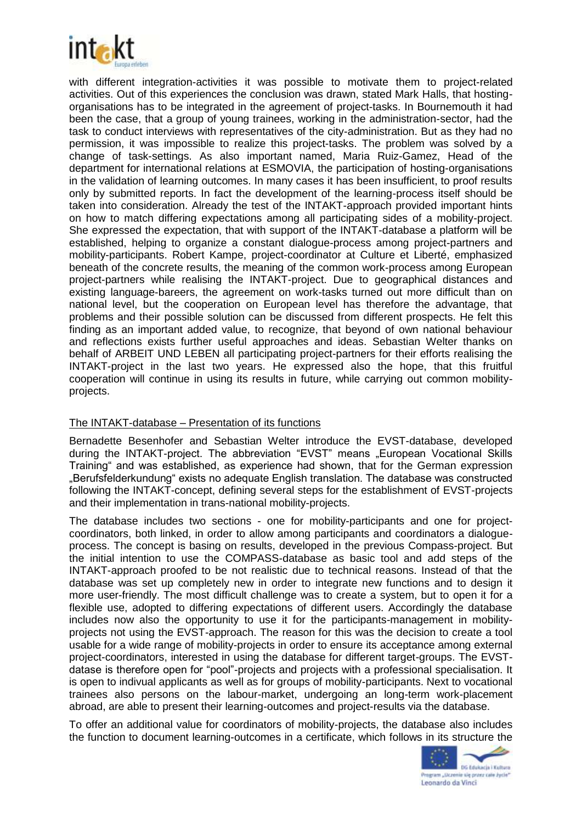

with different integration-activities it was possible to motivate them to project-related activities. Out of this experiences the conclusion was drawn, stated Mark Halls, that hostingorganisations has to be integrated in the agreement of project-tasks. In Bournemouth it had been the case, that a group of young trainees, working in the administration-sector, had the task to conduct interviews with representatives of the city-administration. But as they had no permission, it was impossible to realize this project-tasks. The problem was solved by a change of task-settings. As also important named, Maria Ruiz-Gamez, Head of the department for international relations at ESMOVIA, the participation of hosting-organisations in the validation of learning outcomes. In many cases it has been insufficient, to proof results only by submitted reports. In fact the development of the learning-process itself should be taken into consideration. Already the test of the INTAKT-approach provided important hints on how to match differing expectations among all participating sides of a mobility-project. She expressed the expectation, that with support of the INTAKT-database a platform will be established, helping to organize a constant dialogue-process among project-partners and mobility-participants. Robert Kampe, project-coordinator at Culture et Liberté, emphasized beneath of the concrete results, the meaning of the common work-process among European project-partners while realising the INTAKT-project. Due to geographical distances and existing language-bareers, the agreement on work-tasks turned out more difficult than on national level, but the cooperation on European level has therefore the advantage, that problems and their possible solution can be discussed from different prospects. He felt this finding as an important added value, to recognize, that beyond of own national behaviour and reflections exists further useful approaches and ideas. Sebastian Welter thanks on behalf of ARBEIT UND LEBEN all participating project-partners for their efforts realising the INTAKT-project in the last two years. He expressed also the hope, that this fruitful cooperation will continue in using its results in future, while carrying out common mobilityprojects.

## The INTAKT-database – Presentation of its functions

Bernadette Besenhofer and Sebastian Welter introduce the EVST-database, developed during the INTAKT-project. The abbreviation "EVST" means .European Vocational Skills Training" and was established, as experience had shown, that for the German expression "Berufsfelderkundung" exists no adequate English translation. The database was constructed following the INTAKT-concept, defining several steps for the establishment of EVST-projects and their implementation in trans-national mobility-projects.

The database includes two sections - one for mobility-participants and one for projectcoordinators, both linked, in order to allow among participants and coordinators a dialogueprocess. The concept is basing on results, developed in the previous Compass-project. But the initial intention to use the COMPASS-database as basic tool and add steps of the INTAKT-approach proofed to be not realistic due to technical reasons. Instead of that the database was set up completely new in order to integrate new functions and to design it more user-friendly. The most difficult challenge was to create a system, but to open it for a flexible use, adopted to differing expectations of different users. Accordingly the database includes now also the opportunity to use it for the participants-management in mobilityprojects not using the EVST-approach. The reason for this was the decision to create a tool usable for a wide range of mobility-projects in order to ensure its acceptance among external project-coordinators, interested in using the database for different target-groups. The EVSTdatase is therefore open for "pool"-projects and projects with a professional specialisation. It is open to indivual applicants as well as for groups of mobility-participants. Next to vocational trainees also persons on the labour-market, undergoing an long-term work-placement abroad, are able to present their learning-outcomes and project-results via the database.

To offer an additional value for coordinators of mobility-projects, the database also includes the function to document learning-outcomes in a certificate, which follows in its structure the

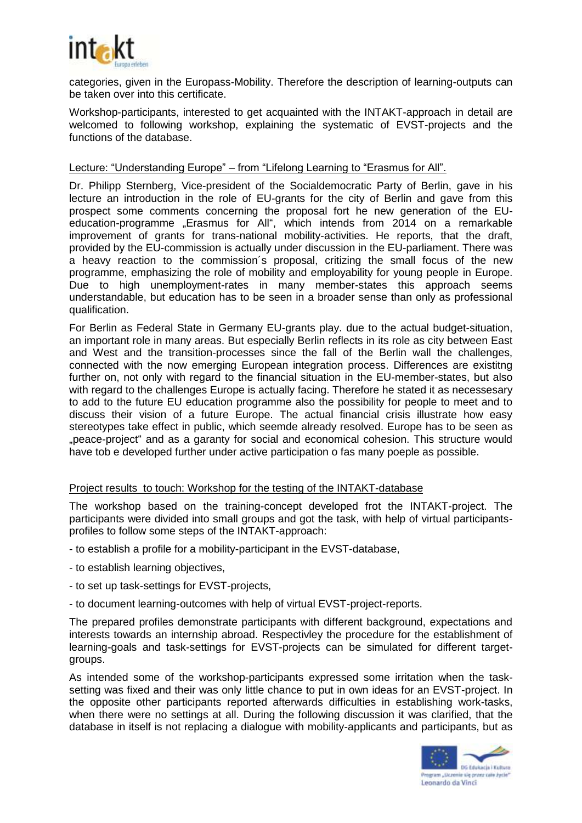

categories, given in the Europass-Mobility. Therefore the description of learning-outputs can be taken over into this certificate.

Workshop-participants, interested to get acquainted with the INTAKT-approach in detail are welcomed to following workshop, explaining the systematic of EVST-projects and the functions of the database.

#### Lecture: "Understanding Europe" – from "Lifelong Learning to "Erasmus for All".

Dr. Philipp Sternberg, Vice-president of the Socialdemocratic Party of Berlin, gave in his lecture an introduction in the role of EU-grants for the city of Berlin and gave from this prospect some comments concerning the proposal fort he new generation of the EUeducation-programme "Erasmus for All", which intends from 2014 on a remarkable improvement of grants for trans-national mobility-activities. He reports, that the draft, provided by the EU-commission is actually under discussion in the EU-parliament. There was a heavy reaction to the commission´s proposal, critizing the small focus of the new programme, emphasizing the role of mobility and employability for young people in Europe. Due to high unemployment-rates in many member-states this approach seems understandable, but education has to be seen in a broader sense than only as professional qualification.

For Berlin as Federal State in Germany EU-grants play. due to the actual budget-situation, an important role in many areas. But especially Berlin reflects in its role as city between East and West and the transition-processes since the fall of the Berlin wall the challenges, connected with the now emerging European integration process. Differences are existitng further on, not only with regard to the financial situation in the EU-member-states, but also with regard to the challenges Europe is actually facing. Therefore he stated it as necessesary to add to the future EU education programme also the possibility for people to meet and to discuss their vision of a future Europe. The actual financial crisis illustrate how easy stereotypes take effect in public, which seemde already resolved. Europe has to be seen as "peace-project" and as a garanty for social and economical cohesion. This structure would have tob e developed further under active participation o fas many poeple as possible.

#### Project results to touch: Workshop for the testing of the INTAKT-database

The workshop based on the training-concept developed frot the INTAKT-project. The participants were divided into small groups and got the task, with help of virtual participantsprofiles to follow some steps of the INTAKT-approach:

- to establish a profile for a mobility-participant in the EVST-database,
- to establish learning objectives,
- to set up task-settings for EVST-projects,
- to document learning-outcomes with help of virtual EVST-project-reports.

The prepared profiles demonstrate participants with different background, expectations and interests towards an internship abroad. Respectivley the procedure for the establishment of learning-goals and task-settings for EVST-projects can be simulated for different targetgroups.

As intended some of the workshop-participants expressed some irritation when the tasksetting was fixed and their was only little chance to put in own ideas for an EVST-project. In the opposite other participants reported afterwards difficulties in establishing work-tasks, when there were no settings at all. During the following discussion it was clarified, that the database in itself is not replacing a dialogue with mobility-applicants and participants, but as